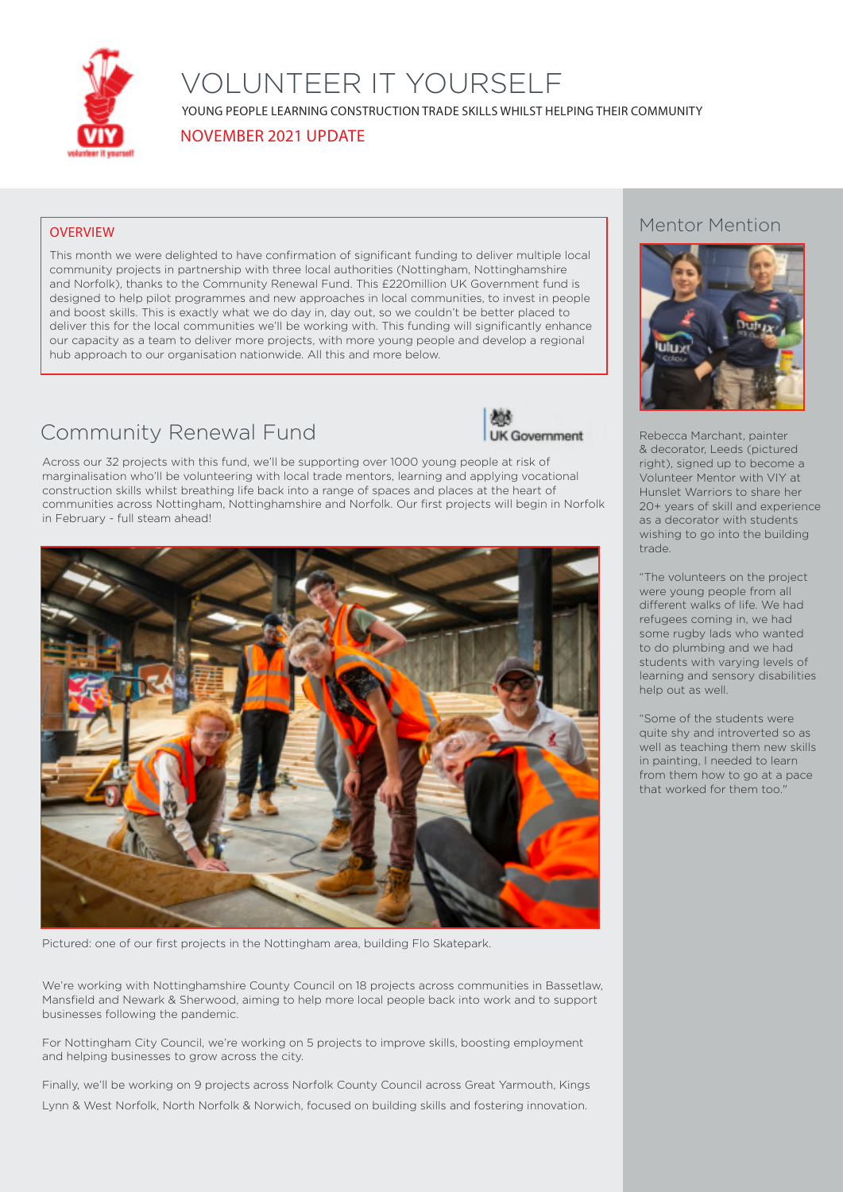

## VOLUNTEER IT YOURSELF

YOUNG PEOPLE LEARNING CONSTRUCTION TRADE SKILLS WHILST HELPING THEIR COMMUNITY

NOVEMBER 2021 UPDATE

### **OVERVIEW**

This month we were delighted to have confirmation of significant funding to deliver multiple local community projects in partnership with three local authorities (Nottingham, Nottinghamshire and Norfolk), thanks to the Community Renewal Fund. This £220million UK Government fund is designed to help pilot programmes and new approaches in local communities, to invest in people and boost skills. This is exactly what we do day in, day out, so we couldn't be better placed to deliver this for the local communities we'll be working with. This funding will significantly enhance our capacity as a team to deliver more projects, with more young people and develop a regional hub approach to our organisation nationwide. All this and more below.

### Community Renewal Fund



Across our 32 projects with this fund, we'll be supporting over 1000 young people at risk of marginalisation who'll be volunteering with local trade mentors, learning and applying vocational construction skills whilst breathing life back into a range of spaces and places at the heart of communities across Nottingham, Nottinghamshire and Norfolk. Our first projects will begin in Norfolk in February - full steam ahead!



Pictured: one of our first projects in the Nottingham area, building Flo Skatepark.

We're working with Nottinghamshire County Council on 18 projects across communities in Bassetlaw, Mansfield and Newark & Sherwood, aiming to help more local people back into work and to support businesses following the pandemic.

For Nottingham City Council, we're working on 5 projects to improve skills, boosting employment and helping businesses to grow across the city.

Finally, we'll be working on 9 projects across Norfolk County Council across Great Yarmouth, Kings Lynn & West Norfolk, North Norfolk & Norwich, focused on building skills and fostering innovation.

### Mentor Mention



Rebecca Marchant, painter & decorator, Leeds (pictured right), signed up to become a Volunteer Mentor with VIY at Hunslet Warriors to share her 20+ years of skill and experience as a decorator with students wishing to go into the building trade.

"The volunteers on the project were young people from all different walks of life. We had refugees coming in, we had some rugby lads who wanted to do plumbing and we had students with varying levels of learning and sensory disabilities help out as well.

"Some of the students were quite shy and introverted so as well as teaching them new skills in painting, I needed to learn from them how to go at a pace that worked for them too."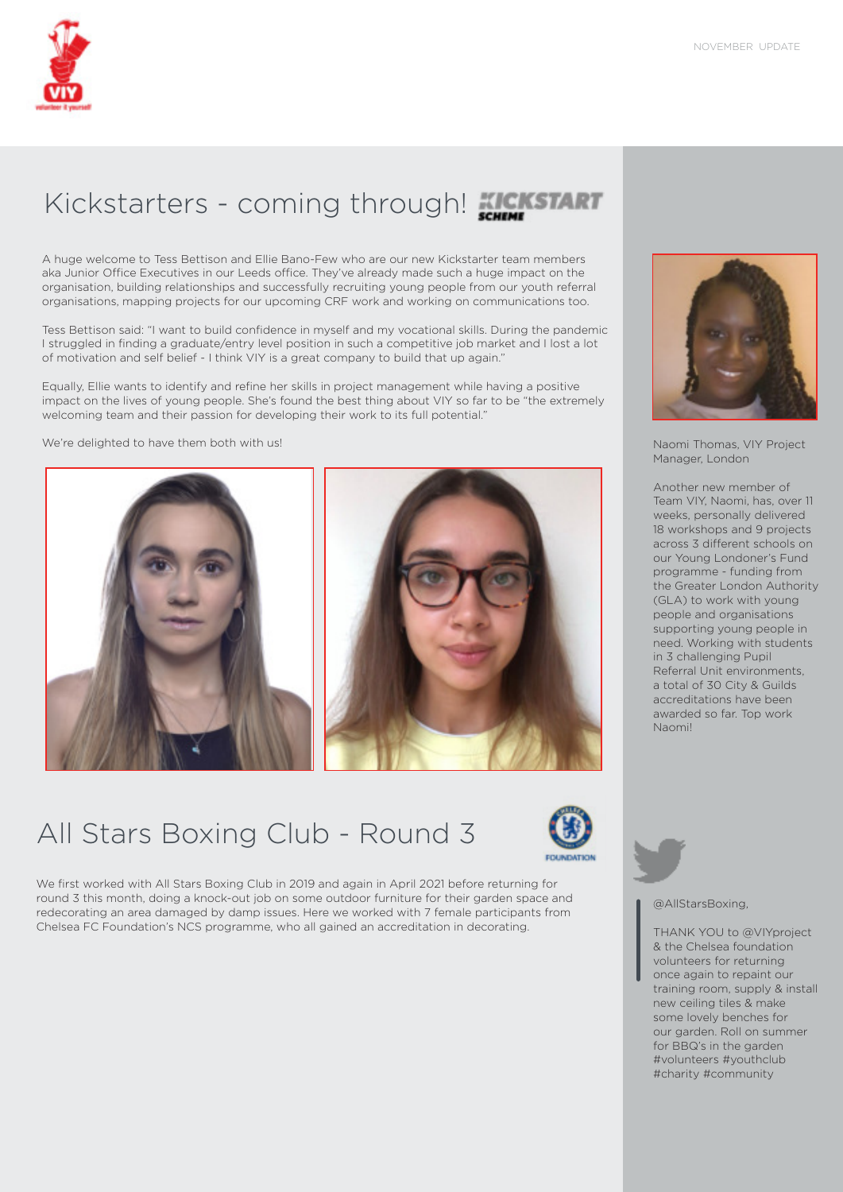# Kickstarters - coming through! **KICKSTART**

A huge welcome to Tess Bettison and Ellie Bano-Few who are our new Kickstarter team members aka Junior Office Executives in our Leeds office. They've already made such a huge impact on the organisation, building relationships and successfully recruiting young people from our youth referral organisations, mapping projects for our upcoming CRF work and working on communications too.

Tess Bettison said: "I want to build confidence in myself and my vocational skills. During the pandemic I struggled in finding a graduate/entry level position in such a competitive job market and I lost a lot of motivation and self belief - I think VIY is a great company to build that up again."

Equally, Ellie wants to identify and refine her skills in project management while having a positive impact on the lives of young people. She's found the best thing about VIY so far to be "the extremely welcoming team and their passion for developing their work to its full potential."

We're delighted to have them both with us! Naomi Thomas, VIY Project Naomi Thomas, NIY Project







We first worked with All Stars Boxing Club in 2019 and again in April 2021 before returning for round 3 this month, doing a knock-out job on some outdoor furniture for their garden space and redecorating an area damaged by damp issues. Here we worked with 7 female participants from Chelsea FC Foundation's NCS programme, who all gained an accreditation in decorating.



Manager, London

Another new member of Team VIY, Naomi, has, over 11 weeks, personally delivered 18 workshops and 9 projects across 3 different schools on our Young Londoner's Fund programme - funding from the Greater London Authority (GLA) to work with young people and organisations supporting young people in need. Working with students in 3 challenging Pupil Referral Unit environments, a total of 30 City & Guilds accreditations have been awarded so far. Top work Naomi!



@AllStarsBoxing,

THANK YOU to @VIYproject & the Chelsea foundation volunteers for returning once again to repaint our training room, supply & install new ceiling tiles & make some lovely benches for our garden. Roll on summer for BBQ's in the garden #volunteers #youthclub #charity #community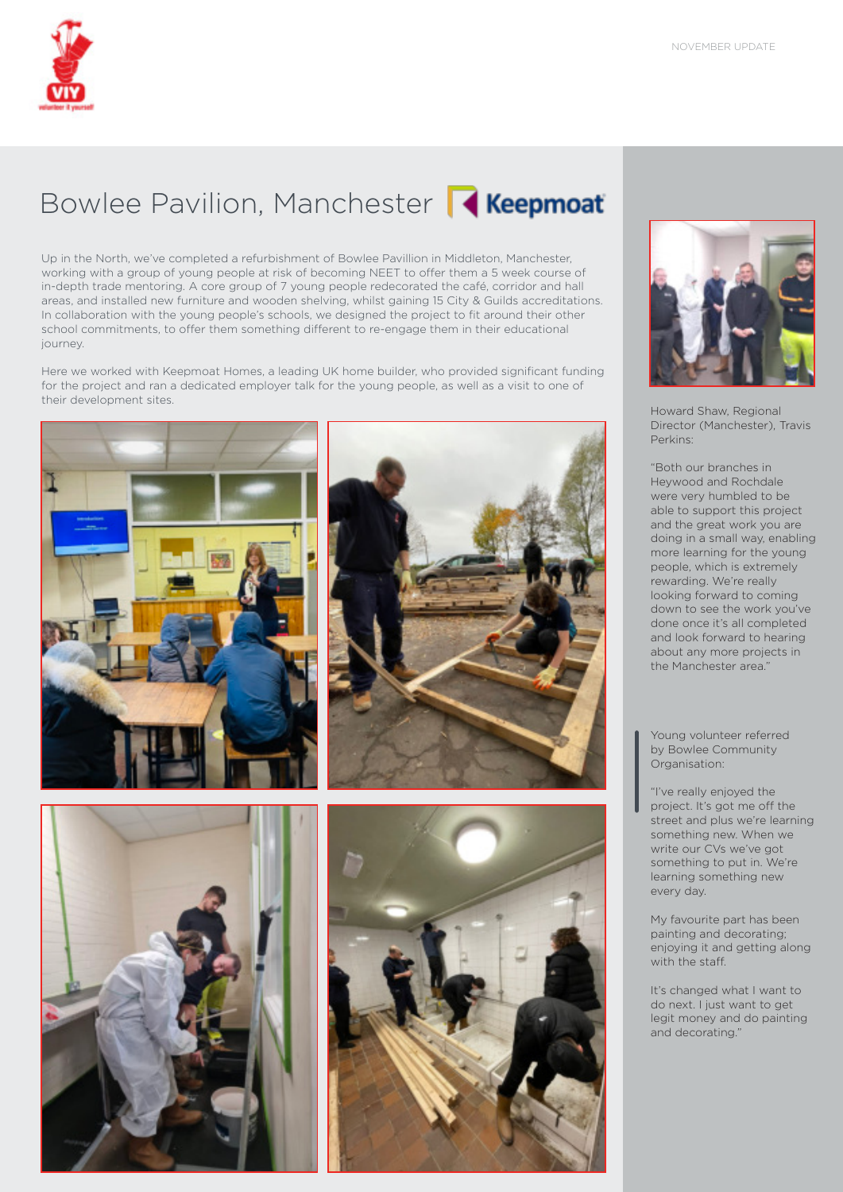# Bowlee Pavilion, Manchester **Reepmoat**

Up in the North, we've completed a refurbishment of Bowlee Pavillion in Middleton, Manchester, working with a group of young people at risk of becoming NEET to offer them a 5 week course of in-depth trade mentoring. A core group of 7 young people redecorated the café, corridor and hall areas, and installed new furniture and wooden shelving, whilst gaining 15 City & Guilds accreditations. In collaboration with the young people's schools, we designed the project to fit around their other school commitments, to offer them something different to re-engage them in their educational journey.

Here we worked with Keepmoat Homes, a leading UK home builder, who provided significant funding for the project and ran a dedicated employer talk for the young people, as well as a visit to one of their development sites.











Howard Shaw, Regional Director (Manchester), Travis Perkins:

"Both our branches in Heywood and Rochdale were very humbled to be able to support this project and the great work you are doing in a small way, enabling more learning for the young people, which is extremely rewarding. We're really looking forward to coming down to see the work you've done once it's all completed and look forward to hearing about any more projects in the Manchester area."

Young volunteer referred by Bowlee Community Organisation:

"I've really enjoyed the project. It's got me off the street and plus we're learning something new. When we write our CVs we've got something to put in. We're learning something new every day.

My favourite part has been painting and decorating; enjoying it and getting along with the staff.

It's changed what I want to do next. I just want to get legit money and do painting and decorating."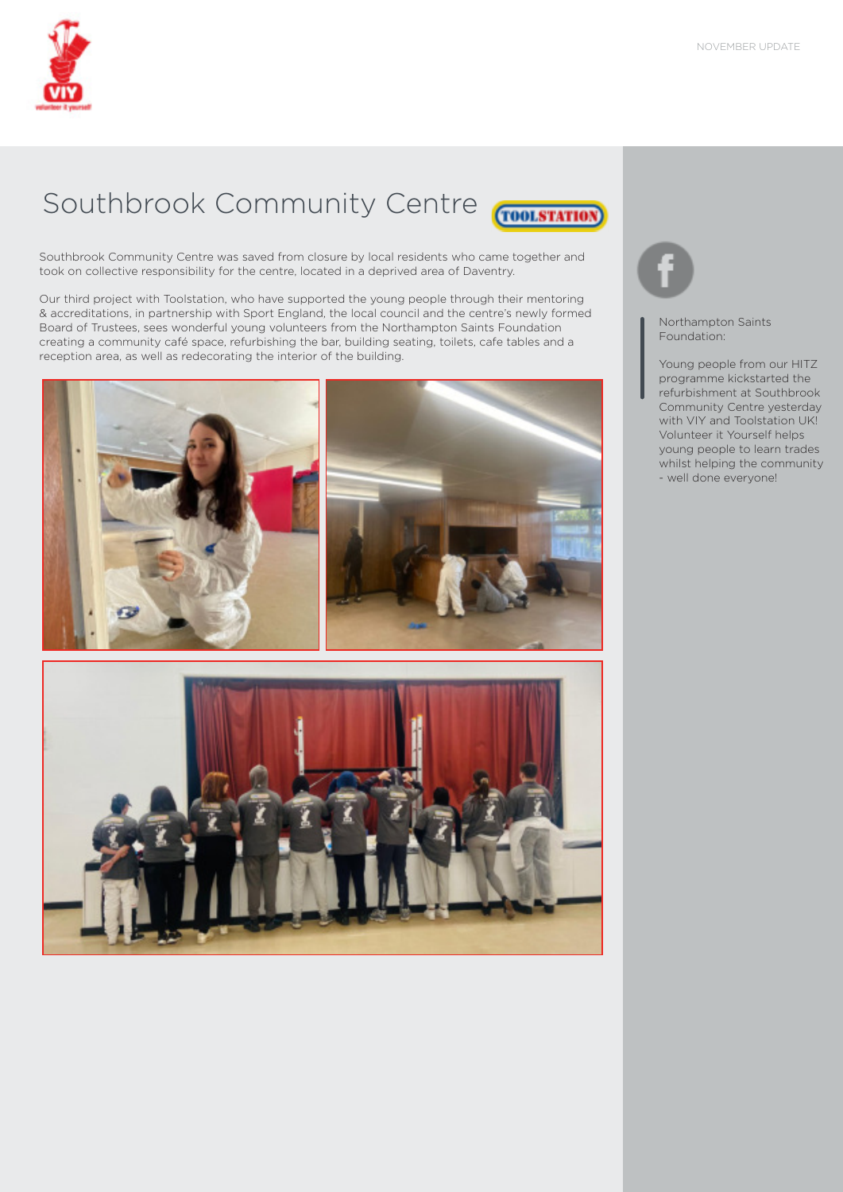

# Southbrook Community Centre

**TOOLSTATION** 

Southbrook Community Centre was saved from closure by local residents who came together and took on collective responsibility for the centre, located in a deprived area of Daventry.

Our third project with Toolstation, who have supported the young people through their mentoring & accreditations, in partnership with Sport England, the local council and the centre's newly formed Board of Trustees, sees wonderful young volunteers from the Northampton Saints Foundation creating a community café space, refurbishing the bar, building seating, toilets, cafe tables and a reception area, as well as redecorating the interior of the building.





Northampton Saints Foundation:

Young people from our HITZ programme kickstarted the refurbishment at Southbrook Community Centre yesterday with VIY and Toolstation UK! Volunteer it Yourself helps young people to learn trades whilst helping the community - well done everyone!